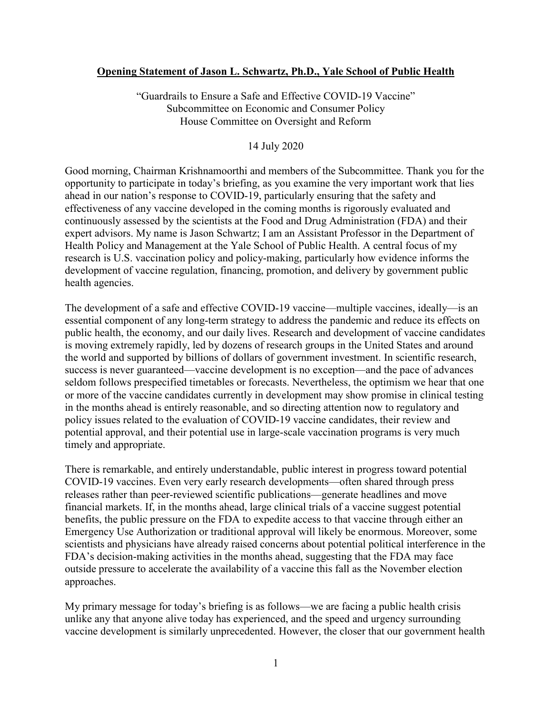## **Opening Statement of Jason L. Schwartz, Ph.D., Yale School of Public Health**

"Guardrails to Ensure a Safe and Effective COVID-19 Vaccine" Subcommittee on Economic and Consumer Policy House Committee on Oversight and Reform

14 July 2020

Good morning, Chairman Krishnamoorthi and members of the Subcommittee. Thank you for the opportunity to participate in today's briefing, as you examine the very important work that lies ahead in our nation's response to COVID-19, particularly ensuring that the safety and effectiveness of any vaccine developed in the coming months is rigorously evaluated and continuously assessed by the scientists at the Food and Drug Administration (FDA) and their expert advisors. My name is Jason Schwartz; I am an Assistant Professor in the Department of Health Policy and Management at the Yale School of Public Health. A central focus of my research is U.S. vaccination policy and policy-making, particularly how evidence informs the development of vaccine regulation, financing, promotion, and delivery by government public health agencies.

The development of a safe and effective COVID-19 vaccine—multiple vaccines, ideally—is an essential component of any long-term strategy to address the pandemic and reduce its effects on public health, the economy, and our daily lives. Research and development of vaccine candidates is moving extremely rapidly, led by dozens of research groups in the United States and around the world and supported by billions of dollars of government investment. In scientific research, success is never guaranteed—vaccine development is no exception—and the pace of advances seldom follows prespecified timetables or forecasts. Nevertheless, the optimism we hear that one or more of the vaccine candidates currently in development may show promise in clinical testing in the months ahead is entirely reasonable, and so directing attention now to regulatory and policy issues related to the evaluation of COVID-19 vaccine candidates, their review and potential approval, and their potential use in large-scale vaccination programs is very much timely and appropriate.

There is remarkable, and entirely understandable, public interest in progress toward potential COVID-19 vaccines. Even very early research developments—often shared through press releases rather than peer-reviewed scientific publications—generate headlines and move financial markets. If, in the months ahead, large clinical trials of a vaccine suggest potential benefits, the public pressure on the FDA to expedite access to that vaccine through either an Emergency Use Authorization or traditional approval will likely be enormous. Moreover, some scientists and physicians have already raised concerns about potential political interference in the FDA's decision-making activities in the months ahead, suggesting that the FDA may face outside pressure to accelerate the availability of a vaccine this fall as the November election approaches.

My primary message for today's briefing is as follows—we are facing a public health crisis unlike any that anyone alive today has experienced, and the speed and urgency surrounding vaccine development is similarly unprecedented. However, the closer that our government health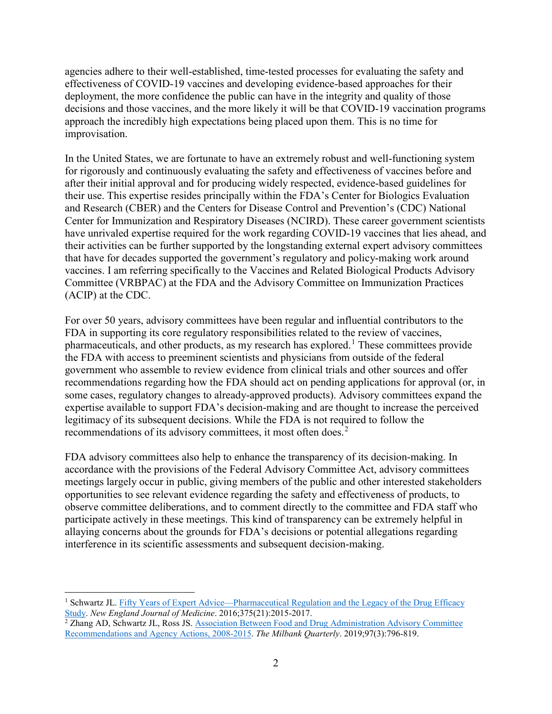agencies adhere to their well-established, time-tested processes for evaluating the safety and effectiveness of COVID-19 vaccines and developing evidence-based approaches for their deployment, the more confidence the public can have in the integrity and quality of those decisions and those vaccines, and the more likely it will be that COVID-19 vaccination programs approach the incredibly high expectations being placed upon them. This is no time for improvisation.

In the United States, we are fortunate to have an extremely robust and well-functioning system for rigorously and continuously evaluating the safety and effectiveness of vaccines before and after their initial approval and for producing widely respected, evidence-based guidelines for their use. This expertise resides principally within the FDA's Center for Biologics Evaluation and Research (CBER) and the Centers for Disease Control and Prevention's (CDC) National Center for Immunization and Respiratory Diseases (NCIRD). These career government scientists have unrivaled expertise required for the work regarding COVID-19 vaccines that lies ahead, and their activities can be further supported by the longstanding external expert advisory committees that have for decades supported the government's regulatory and policy-making work around vaccines. I am referring specifically to the Vaccines and Related Biological Products Advisory Committee (VRBPAC) at the FDA and the Advisory Committee on Immunization Practices (ACIP) at the CDC.

For over 50 years, advisory committees have been regular and influential contributors to the FDA in supporting its core regulatory responsibilities related to the review of vaccines, pharmaceuticals, and other products, as my research has explored. [1](#page-1-0) These committees provide the FDA with access to preeminent scientists and physicians from outside of the federal government who assemble to review evidence from clinical trials and other sources and offer recommendations regarding how the FDA should act on pending applications for approval (or, in some cases, regulatory changes to already-approved products). Advisory committees expand the expertise available to support FDA's decision-making and are thought to increase the perceived legitimacy of its subsequent decisions. While the FDA is not required to follow the recommendations of its advisory committees, it most often does.<sup>[2](#page-1-1)</sup>

FDA advisory committees also help to enhance the transparency of its decision-making. In accordance with the provisions of the Federal Advisory Committee Act, advisory committees meetings largely occur in public, giving members of the public and other interested stakeholders opportunities to see relevant evidence regarding the safety and effectiveness of products, to observe committee deliberations, and to comment directly to the committee and FDA staff who participate actively in these meetings. This kind of transparency can be extremely helpful in allaying concerns about the grounds for FDA's decisions or potential allegations regarding interference in its scientific assessments and subsequent decision-making.

<span id="page-1-0"></span><sup>&</sup>lt;sup>1</sup> Schwartz JL. Fifty Years of Expert Advice—Pharmaceutical Regulation and the Legacy of the Drug Efficacy [Study.](https://www.nejm.org/doi/full/10.1056/NEJMp1609763) *New England Journal of Medicine*. 2016;375(21):2015-2017.

<span id="page-1-1"></span><sup>&</sup>lt;sup>2</sup> Zhang AD, Schwartz JL, Ross JS. **Association Between Food and Drug Administration Advisory Committee** [Recommendations and Agency Actions, 2008-2015.](https://onlinelibrary.wiley.com/doi/abs/10.1111/1468-0009.12403) *The Milbank Quarterly*. 2019;97(3):796-819.